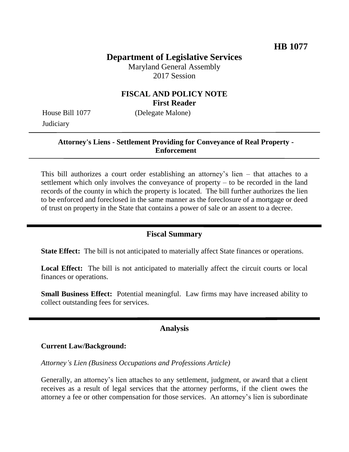# **Department of Legislative Services**

Maryland General Assembly 2017 Session

# **FISCAL AND POLICY NOTE First Reader**

House Bill 1077 (Delegate Malone) **Judiciary** 

#### **Attorney's Liens - Settlement Providing for Conveyance of Real Property - Enforcement**

This bill authorizes a court order establishing an attorney's lien – that attaches to a settlement which only involves the conveyance of property – to be recorded in the land records of the county in which the property is located. The bill further authorizes the lien to be enforced and foreclosed in the same manner as the foreclosure of a mortgage or deed of trust on property in the State that contains a power of sale or an assent to a decree.

# **Fiscal Summary**

**State Effect:** The bill is not anticipated to materially affect State finances or operations.

Local Effect: The bill is not anticipated to materially affect the circuit courts or local finances or operations.

**Small Business Effect:** Potential meaningful. Law firms may have increased ability to collect outstanding fees for services.

#### **Analysis**

#### **Current Law/Background:**

*Attorney's Lien (Business Occupations and Professions Article)*

Generally, an attorney's lien attaches to any settlement, judgment, or award that a client receives as a result of legal services that the attorney performs, if the client owes the attorney a fee or other compensation for those services. An attorney's lien is subordinate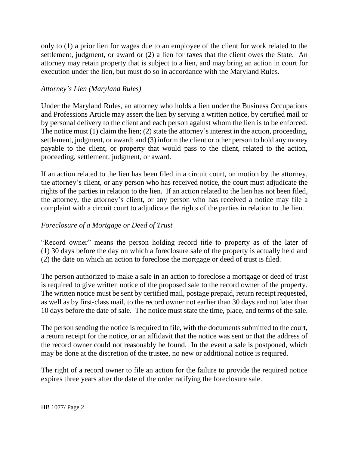only to (1) a prior lien for wages due to an employee of the client for work related to the settlement, judgment, or award or (2) a lien for taxes that the client owes the State. An attorney may retain property that is subject to a lien, and may bring an action in court for execution under the lien, but must do so in accordance with the Maryland Rules.

## *Attorney's Lien (Maryland Rules)*

Under the Maryland Rules, an attorney who holds a lien under the Business Occupations and Professions Article may assert the lien by serving a written notice, by certified mail or by personal delivery to the client and each person against whom the lien is to be enforced. The notice must (1) claim the lien; (2) state the attorney's interest in the action, proceeding, settlement, judgment, or award; and (3) inform the client or other person to hold any money payable to the client, or property that would pass to the client, related to the action, proceeding, settlement, judgment, or award.

If an action related to the lien has been filed in a circuit court, on motion by the attorney, the attorney's client, or any person who has received notice, the court must adjudicate the rights of the parties in relation to the lien. If an action related to the lien has not been filed, the attorney, the attorney's client, or any person who has received a notice may file a complaint with a circuit court to adjudicate the rights of the parties in relation to the lien.

# *Foreclosure of a Mortgage or Deed of Trust*

"Record owner" means the person holding record title to property as of the later of (1) 30 days before the day on which a foreclosure sale of the property is actually held and (2) the date on which an action to foreclose the mortgage or deed of trust is filed.

The person authorized to make a sale in an action to foreclose a mortgage or deed of trust is required to give written notice of the proposed sale to the record owner of the property. The written notice must be sent by certified mail, postage prepaid, return receipt requested, as well as by first-class mail, to the record owner not earlier than 30 days and not later than 10 days before the date of sale. The notice must state the time, place, and terms of the sale.

The person sending the notice is required to file, with the documents submitted to the court, a return receipt for the notice, or an affidavit that the notice was sent or that the address of the record owner could not reasonably be found. In the event a sale is postponed, which may be done at the discretion of the trustee, no new or additional notice is required.

The right of a record owner to file an action for the failure to provide the required notice expires three years after the date of the order ratifying the foreclosure sale.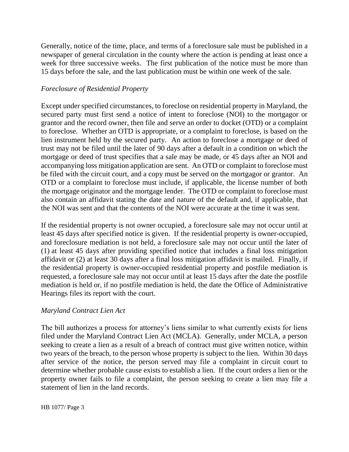Generally, notice of the time, place, and terms of a foreclosure sale must be published in a newspaper of general circulation in the county where the action is pending at least once a week for three successive weeks. The first publication of the notice must be more than 15 days before the sale, and the last publication must be within one week of the sale.

#### *Foreclosure of Residential Property*

Except under specified circumstances, to foreclose on residential property in Maryland, the secured party must first send a notice of intent to foreclose (NOI) to the mortgagor or grantor and the record owner, then file and serve an order to docket (OTD) or a complaint to foreclose. Whether an OTD is appropriate, or a complaint to foreclose, is based on the lien instrument held by the secured party. An action to foreclose a mortgage or deed of trust may not be filed until the later of 90 days after a default in a condition on which the mortgage or deed of trust specifies that a sale may be made, or 45 days after an NOI and accompanying loss mitigation application are sent. An OTD or complaint to foreclose must be filed with the circuit court, and a copy must be served on the mortgagor or grantor. An OTD or a complaint to foreclose must include, if applicable, the license number of both the mortgage originator and the mortgage lender. The OTD or complaint to foreclose must also contain an affidavit stating the date and nature of the default and, if applicable, that the NOI was sent and that the contents of the NOI were accurate at the time it was sent.

If the residential property is not owner occupied, a foreclosure sale may not occur until at least 45 days after specified notice is given. If the residential property is owner-occupied, and foreclosure mediation is not held, a foreclosure sale may not occur until the later of (1) at least 45 days after providing specified notice that includes a final loss mitigation affidavit or (2) at least 30 days after a final loss mitigation affidavit is mailed. Finally, if the residential property is owner-occupied residential property and postfile mediation is requested, a foreclosure sale may not occur until at least 15 days after the date the postfile mediation is held or, if no postfile mediation is held, the date the Office of Administrative Hearings files its report with the court.

## *Maryland Contract Lien Act*

The bill authorizes a process for attorney's liens similar to what currently exists for liens filed under the Maryland Contract Lien Act (MCLA). Generally, under MCLA, a person seeking to create a lien as a result of a breach of contract must give written notice, within two years of the breach, to the person whose property is subject to the lien. Within 30 days after service of the notice, the person served may file a complaint in circuit court to determine whether probable cause exists to establish a lien. If the court orders a lien or the property owner fails to file a complaint, the person seeking to create a lien may file a statement of lien in the land records.